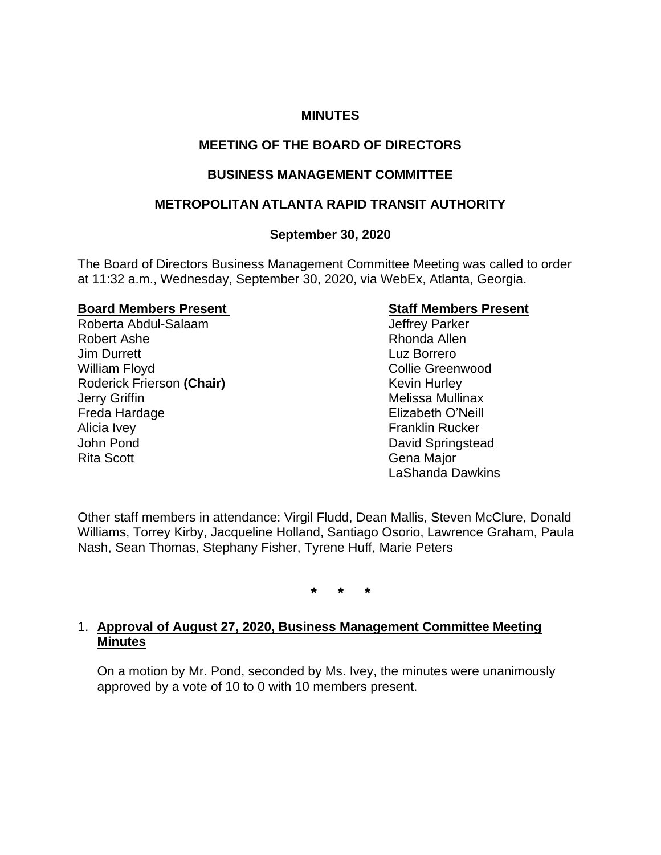### **MINUTES**

# **MEETING OF THE BOARD OF DIRECTORS**

# **BUSINESS MANAGEMENT COMMITTEE**

# **METROPOLITAN ATLANTA RAPID TRANSIT AUTHORITY**

# **September 30, 2020**

The Board of Directors Business Management Committee Meeting was called to order at 11:32 a.m., Wednesday, September 30, 2020, via WebEx, Atlanta, Georgia.

### **Board Members Present Constraining Staff Members Present**

Roberta Abdul-Salaam Jeffrey Parker Robert Ashe **Rhonda** Allen **Jim Durrett** Luz Borrero William Floyd **Collie Greenwood** Roderick Frierson (Chair) **Kevin Hurley** Kevin Hurley **Jerry Griffin** Melissa Mullinax Freda Hardage **Elizabeth O'Neill** Alicia Ivey **Franklin** Rucker John Pond **David Springstead** Rita Scott **Gena Major** Gena Major

LaShanda Dawkins

Other staff members in attendance: Virgil Fludd, Dean Mallis, Steven McClure, Donald Williams, Torrey Kirby, Jacqueline Holland, Santiago Osorio, Lawrence Graham, Paula Nash, Sean Thomas, Stephany Fisher, Tyrene Huff, Marie Peters

**\* \* \***

# 1. **Approval of August 27, 2020, Business Management Committee Meeting Minutes**

On a motion by Mr. Pond, seconded by Ms. Ivey, the minutes were unanimously approved by a vote of 10 to 0 with 10 members present.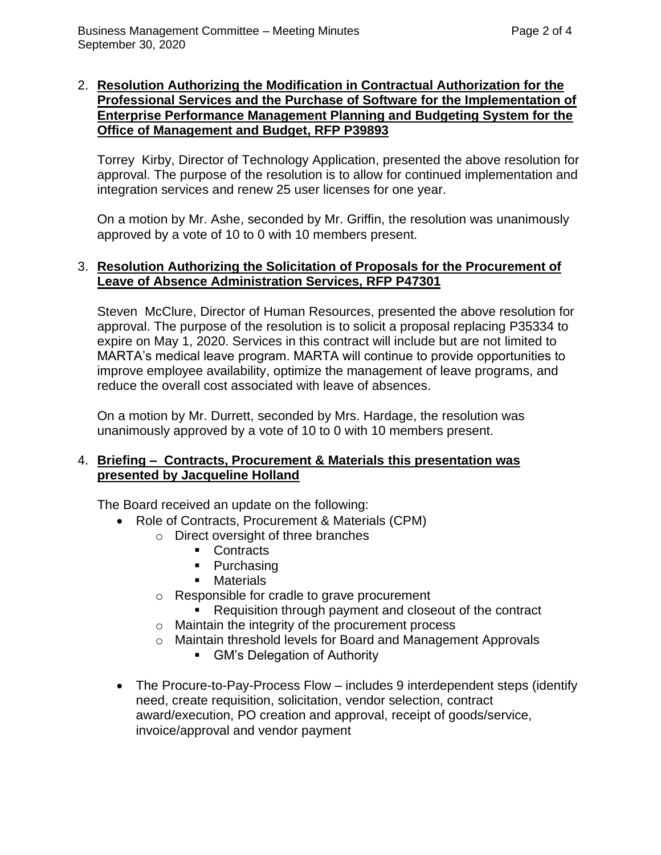## 2. **Resolution Authorizing the Modification in Contractual Authorization for the Professional Services and the Purchase of Software for the Implementation of Enterprise Performance Management Planning and Budgeting System for the Office of Management and Budget, RFP P39893**

Torrey Kirby, Director of Technology Application, presented the above resolution for approval. The purpose of the resolution is to allow for continued implementation and integration services and renew 25 user licenses for one year.

On a motion by Mr. Ashe, seconded by Mr. Griffin, the resolution was unanimously approved by a vote of 10 to 0 with 10 members present.

### 3. **Resolution Authorizing the Solicitation of Proposals for the Procurement of Leave of Absence Administration Services, RFP P47301**

Steven McClure, Director of Human Resources, presented the above resolution for approval. The purpose of the resolution is to solicit a proposal replacing P35334 to expire on May 1, 2020. Services in this contract will include but are not limited to MARTA's medical leave program. MARTA will continue to provide opportunities to improve employee availability, optimize the management of leave programs, and reduce the overall cost associated with leave of absences.

On a motion by Mr. Durrett, seconded by Mrs. Hardage, the resolution was unanimously approved by a vote of 10 to 0 with 10 members present.

# 4. **Briefing – Contracts, Procurement & Materials this presentation was presented by Jacqueline Holland**

The Board received an update on the following:

- Role of Contracts, Procurement & Materials (CPM)
	- o Direct oversight of three branches
		- Contracts
		- Purchasing
		- Materials
	- o Responsible for cradle to grave procurement
		- Requisition through payment and closeout of the contract
	- o Maintain the integrity of the procurement process
	- o Maintain threshold levels for Board and Management Approvals
		- GM's Delegation of Authority
- The Procure-to-Pay-Process Flow includes 9 interdependent steps (identify need, create requisition, solicitation, vendor selection, contract award/execution, PO creation and approval, receipt of goods/service, invoice/approval and vendor payment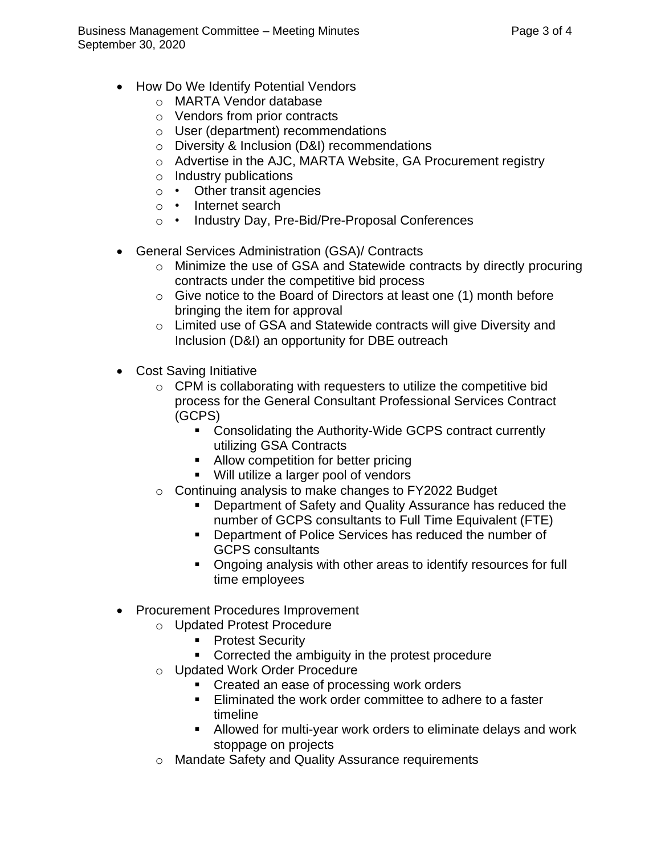- How Do We Identify Potential Vendors
	- o MARTA Vendor database
	- o Vendors from prior contracts
	- o User (department) recommendations
	- o Diversity & Inclusion (D&I) recommendations
	- o Advertise in the AJC, MARTA Website, GA Procurement registry
	- o Industry publications
	- o Other transit agencies
	- o Internet search
	- o Industry Day, Pre-Bid/Pre-Proposal Conferences
- General Services Administration (GSA)/ Contracts
	- o Minimize the use of GSA and Statewide contracts by directly procuring contracts under the competitive bid process
	- o Give notice to the Board of Directors at least one (1) month before bringing the item for approval
	- o Limited use of GSA and Statewide contracts will give Diversity and Inclusion (D&I) an opportunity for DBE outreach
- Cost Saving Initiative
	- o CPM is collaborating with requesters to utilize the competitive bid process for the General Consultant Professional Services Contract (GCPS)
		- Consolidating the Authority-Wide GCPS contract currently utilizing GSA Contracts
		- Allow competition for better pricing
		- Will utilize a larger pool of vendors
	- o Continuing analysis to make changes to FY2022 Budget
		- Department of Safety and Quality Assurance has reduced the number of GCPS consultants to Full Time Equivalent (FTE)
		- Department of Police Services has reduced the number of GCPS consultants
		- Ongoing analysis with other areas to identify resources for full time employees
- Procurement Procedures Improvement
	- o Updated Protest Procedure
		- Protest Security
		- **EXEDENT** Corrected the ambiguity in the protest procedure
	- o Updated Work Order Procedure
		- Created an ease of processing work orders
		- Eliminated the work order committee to adhere to a faster timeline
		- Allowed for multi-year work orders to eliminate delays and work stoppage on projects
	- o Mandate Safety and Quality Assurance requirements